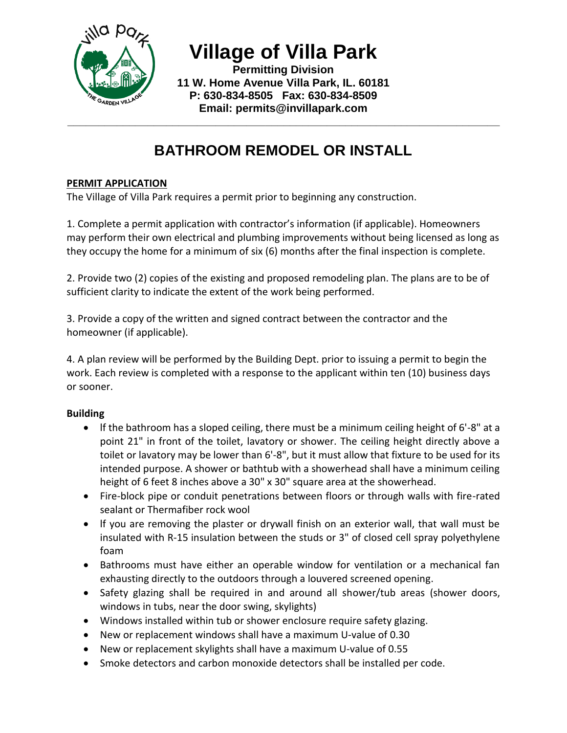

**Village of Villa Park**

**Permitting Division 11 W. Home Avenue Villa Park, IL. 60181 P: 630-834-8505 Fax: 630-834-8509 Email: permits@invillapark.com**

**\_\_\_\_\_\_\_\_\_\_\_\_\_\_\_\_\_\_\_\_\_\_\_\_\_\_\_\_\_\_\_\_\_\_\_\_\_\_\_\_\_\_\_\_\_\_\_\_\_\_\_\_\_\_\_\_\_\_\_\_\_\_\_\_\_\_\_\_\_\_**

# **BATHROOM REMODEL OR INSTALL**

# **PERMIT APPLICATION**

The Village of Villa Park requires a permit prior to beginning any construction.

1. Complete a permit application with contractor's information (if applicable). Homeowners may perform their own electrical and plumbing improvements without being licensed as long as they occupy the home for a minimum of six (6) months after the final inspection is complete.

2. Provide two (2) copies of the existing and proposed remodeling plan. The plans are to be of sufficient clarity to indicate the extent of the work being performed.

3. Provide a copy of the written and signed contract between the contractor and the homeowner (if applicable).

4. A plan review will be performed by the Building Dept. prior to issuing a permit to begin the work. Each review is completed with a response to the applicant within ten (10) business days or sooner.

## **Building**

- $\bullet$  If the bathroom has a sloped ceiling, there must be a minimum ceiling height of 6'-8" at a point 21" in front of the toilet, lavatory or shower. The ceiling height directly above a toilet or lavatory may be lower than 6'-8", but it must allow that fixture to be used for its intended purpose. A shower or bathtub with a showerhead shall have a minimum ceiling height of 6 feet 8 inches above a 30" x 30" square area at the showerhead.
- Fire-block pipe or conduit penetrations between floors or through walls with fire-rated sealant or Thermafiber rock wool
- lf you are removing the plaster or drywall finish on an exterior wall, that wall must be insulated with R-15 insulation between the studs or 3" of closed cell spray polyethylene foam
- Bathrooms must have either an operable window for ventilation or a mechanical fan exhausting directly to the outdoors through a louvered screened opening.
- Safety glazing shall be required in and around all shower/tub areas (shower doors, windows in tubs, near the door swing, skylights)
- Windows installed within tub or shower enclosure require safety glazing.
- New or replacement windows shall have a maximum U-value of 0.30
- New or replacement skylights shall have a maximum U-value of 0.55
- Smoke detectors and carbon monoxide detectors shall be installed per code.